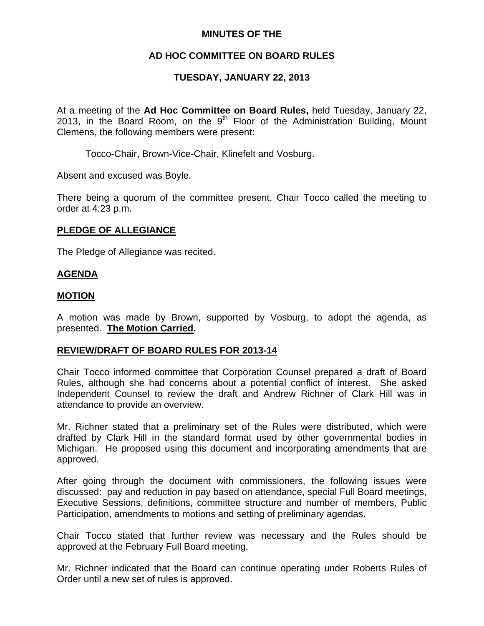## **MINUTES OF THE**

# **AD HOC COMMITTEE ON BOARD RULES**

# **TUESDAY, JANUARY 22, 2013**

At a meeting of the **Ad Hoc Committee on Board Rules,** held Tuesday, January 22, 2013, in the Board Room, on the  $9<sup>th</sup>$  Floor of the Administration Building, Mount Clemens, the following members were present:

Tocco-Chair, Brown-Vice-Chair, Klinefelt and Vosburg.

Absent and excused was Boyle.

There being a quorum of the committee present, Chair Tocco called the meeting to order at 4:23 p.m.

## **PLEDGE OF ALLEGIANCE**

The Pledge of Allegiance was recited.

#### **AGENDA**

#### **MOTION**

A motion was made by Brown, supported by Vosburg, to adopt the agenda, as presented. **The Motion Carried.** 

#### **REVIEW/DRAFT OF BOARD RULES FOR 2013-14**

Chair Tocco informed committee that Corporation Counsel prepared a draft of Board Rules, although she had concerns about a potential conflict of interest. She asked Independent Counsel to review the draft and Andrew Richner of Clark Hill was in attendance to provide an overview.

Mr. Richner stated that a preliminary set of the Rules were distributed, which were drafted by Clark Hill in the standard format used by other governmental bodies in Michigan. He proposed using this document and incorporating amendments that are approved.

After going through the document with commissioners, the following issues were discussed: pay and reduction in pay based on attendance, special Full Board meetings, Executive Sessions, definitions, committee structure and number of members, Public Participation, amendments to motions and setting of preliminary agendas.

Chair Tocco stated that further review was necessary and the Rules should be approved at the February Full Board meeting.

Mr. Richner indicated that the Board can continue operating under Roberts Rules of Order until a new set of rules is approved.